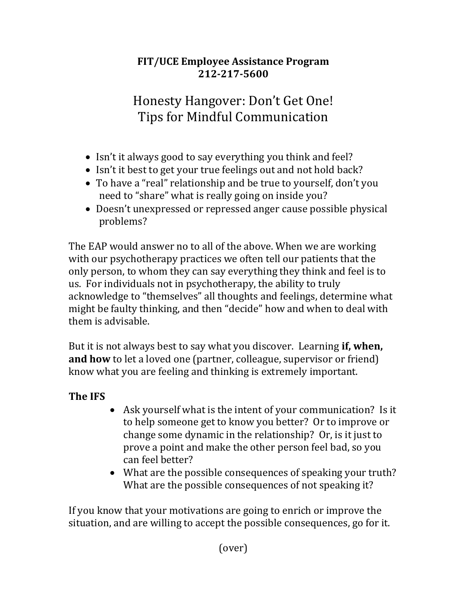## **FIT/UCE Employee Assistance Program 212-217-5600**

# Honesty Hangover: Don't Get One! Tips for Mindful Communication

- Isn't it always good to say everything you think and feel?
- Isn't it best to get your true feelings out and not hold back?
- To have a "real" relationship and be true to yourself, don't you need to "share" what is really going on inside you?
- Doesn't unexpressed or repressed anger cause possible physical problems?

The EAP would answer no to all of the above. When we are working with our psychotherapy practices we often tell our patients that the only person, to whom they can say everything they think and feel is to us. For individuals not in psychotherapy, the ability to truly acknowledge to "themselves" all thoughts and feelings, determine what might be faulty thinking, and then "decide" how and when to deal with them is advisable.

But it is not always best to say what you discover. Learning **if, when, and how** to let a loved one (partner, colleague, supervisor or friend) know what you are feeling and thinking is extremely important.

## **The IFS**

- Ask yourself what is the intent of your communication? Is it to help someone get to know you better? Or to improve or change some dynamic in the relationship? Or, is it just to prove a point and make the other person feel bad, so you can feel better?
- What are the possible consequences of speaking your truth? What are the possible consequences of not speaking it?

If you know that your motivations are going to enrich or improve the situation, and are willing to accept the possible consequences, go for it.